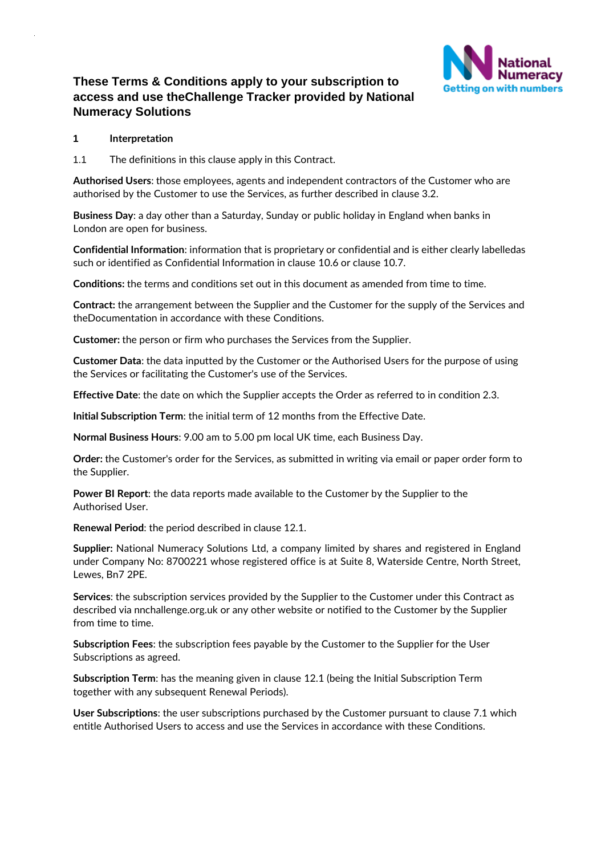

# **These Terms & Conditions apply to your subscription to access and use theChallenge Tracker provided by National Numeracy Solutions**

## **1 Interpretation**

1.1 The definitions in this clause apply in this Contract.

**Authorised Users**: those employees, agents and independent contractors of the Customer who are authorised by the Customer to use the Services, as further described in clause 3.2.

**Business Day**: a day other than a Saturday, Sunday or public holiday in England when banks in London are open for business.

**Confidential Information**: information that is proprietary or confidential and is either clearly labelledas such or identified as Confidential Information in clause [10.6](#page-7-0) or clause [10.7.](#page-7-1)

**Conditions:** the terms and conditions set out in this document as amended from time to time.

**Contract:** the arrangement between the Supplier and the Customer for the supply of the Services and theDocumentation in accordance with these Conditions.

**Customer:** the person or firm who purchases the Services from the Supplier.

**Customer Data**: the data inputted by the Customer or the Authorised Users for the purpose of using the Services or facilitating the Customer's use of the Services.

**Effective Date**: the date on which the Supplier accepts the Order as referred to in condition 2.3.

**Initial Subscription Term**: the initial term of 12 months from the Effective Date.

**Normal Business Hours**: 9.00 am to 5.00 pm local UK time, each Business Day.

**Order:** the Customer's order for the Services, as submitted in writing via email or paper order form to the Supplier.

**Power BI Report**: the data reports made available to the Customer by the Supplier to the Authorised User.

**Renewal Period**: the period described in clause [12.1.](#page-8-0)

**Supplier:** National Numeracy Solutions Ltd, a company limited by shares and registered in England under Company No: 8700221 whose registered office is at Suite 8, Waterside Centre, North Street, Lewes, Bn7 2PE.

**Services**: the subscription services provided by the Supplier to the Customer under this Contract as described via nnchallenge.org.uk or any other website or notified to the Customer by the Supplier from time to time.

**Subscription Fees**: the subscription fees payable by the Customer to the Supplier for the User Subscriptions as agreed.

**Subscription Term**: has the meaning given in clause [12.1 \(](#page-8-0)being the Initial Subscription Term together with any subsequent Renewal Periods).

**User Subscriptions**: the user subscriptions purchased by the Customer pursuant to clause [7.1 w](#page-4-0)hich entitle Authorised Users to access and use the Services in accordance with these Conditions.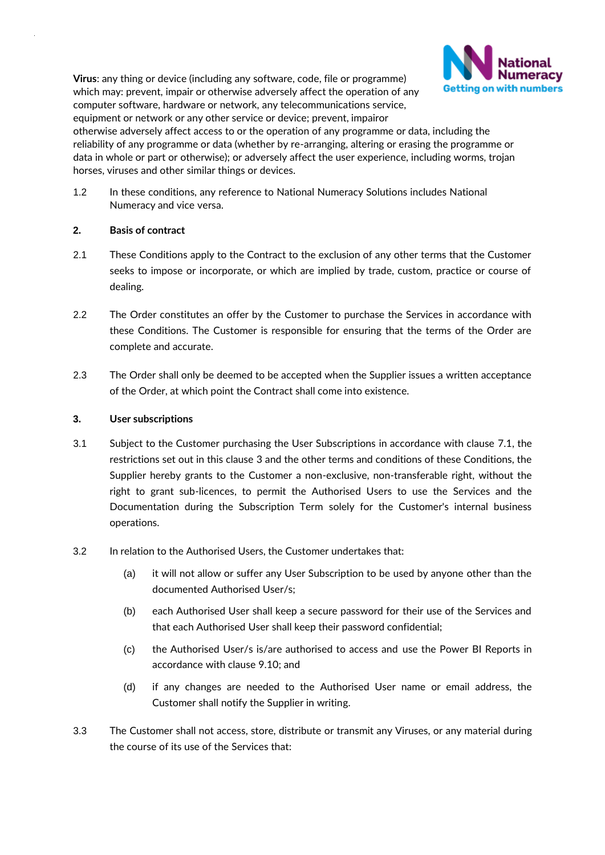**Virus**: any thing or device (including any software, code, file or programme) **Getting on with numbers** which may: prevent, impair or otherwise adversely affect the operation of any computer software, hardware or network, any telecommunications service, equipment or network or any other service or device; prevent, impairor otherwise adversely affect access to or the operation of any programme or data, including the reliability of any programme or data (whether by re-arranging, altering or erasing the programme or data in whole or part or otherwise); or adversely affect the user experience, including worms, trojan horses, viruses and other similar things or devices.



# **2. Basis of contract**

2.1 These Conditions apply to the Contract to the exclusion of any other terms that the Customer seeks to impose or incorporate, or which are implied by trade, custom, practice or course of dealing.

**Numeracy** 

- 2.2 The Order constitutes an offer by the Customer to purchase the Services in accordance with these Conditions. The Customer is responsible for ensuring that the terms of the Order are complete and accurate.
- 2.3 The Order shall only be deemed to be accepted when the Supplier issues a written acceptance of the Order, at which point the Contract shall come into existence.

# <span id="page-1-0"></span>**3. User subscriptions**

- 3.1 Subject to the Customer purchasing the User Subscriptions in accordance with clause [7.1,](#page-4-0) the restrictions set out in this clause [3 a](#page-1-0)nd the other terms and conditions of these Conditions, the Supplier hereby grants to the Customer a non-exclusive, non-transferable right, without the right to grant sub-licences, to permit the Authorised Users to use the Services and the Documentation during the Subscription Term solely for the Customer's internal business operations.
- 3.2 In relation to the Authorised Users, the Customer undertakes that:
	- (a) it will not allow or suffer any User Subscription to be used by anyone other than the documented Authorised User/s;
	- (b) each Authorised User shall keep a secure password for their use of the Services and that each Authorised User shall keep their password confidential;
	- (c) the Authorised User/s is/are authorised to access and use the Power BI Reports in accordance with clause 9.10; and
	- (d) if any changes are needed to the Authorised User name or email address, the Customer shall notify the Supplier in writing.
- 3.3 The Customer shall not access, store, distribute or transmit any Viruses, or any material during the course of its use of the Services that: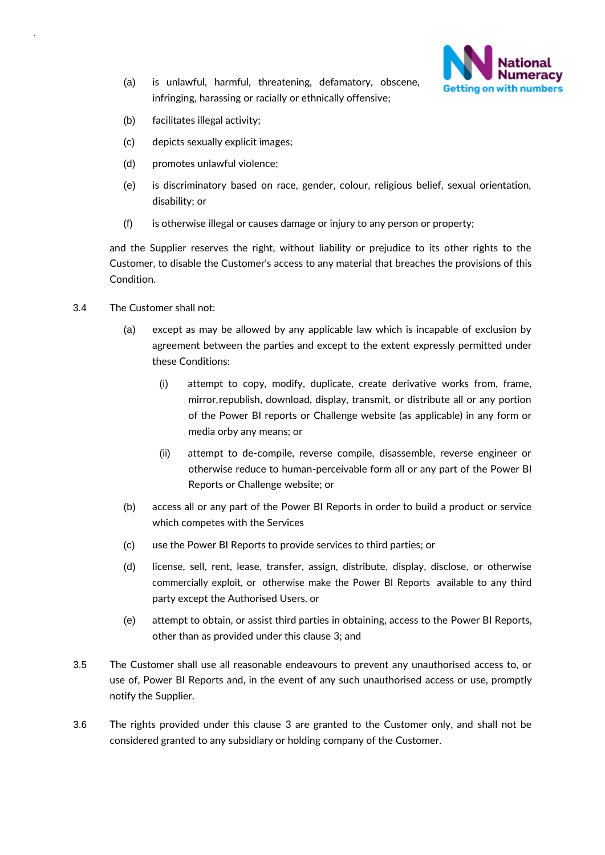

- (a) is unlawful, harmful, threatening, defamatory, obscene, infringing, harassing or racially or ethnically offensive;
- (b) facilitates illegal activity;
- (c) depicts sexually explicit images;
- (d) promotes unlawful violence;
- (e) is discriminatory based on race, gender, colour, religious belief, sexual orientation, disability; or
- (f) is otherwise illegal or causes damage or injury to any person or property;

and the Supplier reserves the right, without liability or prejudice to its other rights to the Customer, to disable the Customer's access to any material that breaches the provisions of this Condition.

- 3.4 The Customer shall not:
	- (a) except as may be allowed by any applicable law which is incapable of exclusion by agreement between the parties and except to the extent expressly permitted under these Conditions:
		- (i) attempt to copy, modify, duplicate, create derivative works from, frame, mirror,republish, download, display, transmit, or distribute all or any portion of the Power BI reports or Challenge website (as applicable) in any form or media orby any means; or
		- (ii) attempt to de-compile, reverse compile, disassemble, reverse engineer or otherwise reduce to human-perceivable form all or any part of the Power BI Reports or Challenge website; or
	- (b) access all or any part of the Power BI Reports in order to build a product or service which competes with the Services
	- (c) use the Power BI Reports to provide services to third parties; or
	- (d) license, sell, rent, lease, transfer, assign, distribute, display, disclose, or otherwise commercially exploit, or otherwise make the Power BI Reports available to any third party except the Authorised Users, or
	- (e) attempt to obtain, or assist third parties in obtaining, access to the Power BI Reports, other than as provided under this clause [3;](#page-1-0) and
- 3.5 The Customer shall use all reasonable endeavours to prevent any unauthorised access to, or use of, Power BI Reports and, in the event of any such unauthorised access or use, promptly notify the Supplier.
- 3.6 The rights provided under this clause [3 a](#page-1-0)re granted to the Customer only, and shall not be considered granted to any subsidiary or holding company of the Customer.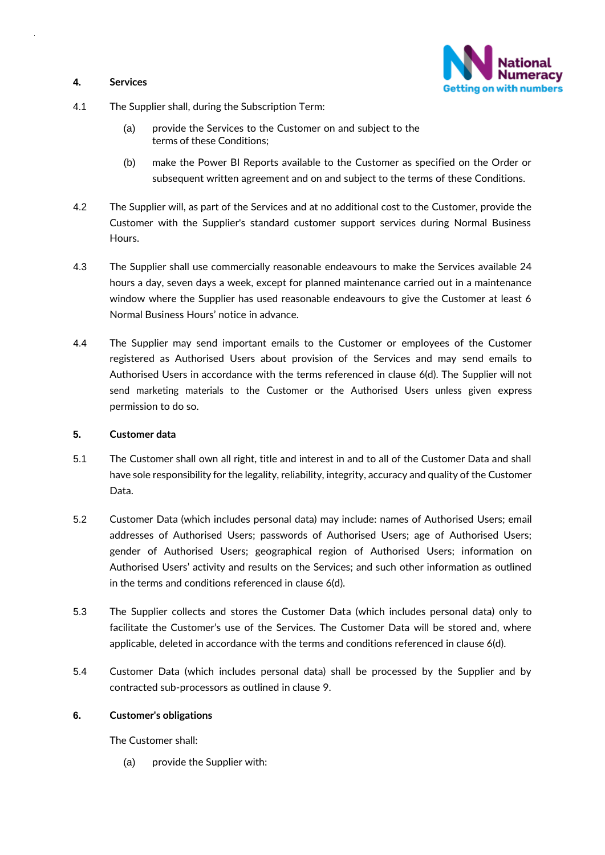## **4. Services**



- 4.1 The Supplier shall, during the Subscription Term:
	- (a) provide the Services to the Customer on and subject to the terms of these Conditions;
	- (b) make the Power BI Reports available to the Customer as specified on the Order or subsequent written agreement and on and subject to the terms of these Conditions.
- 4.2 The Supplier will, as part of the Services and at no additional cost to the Customer, provide the Customer with the Supplier's standard customer support services during Normal Business Hours.
- 4.3 The Supplier shall use commercially reasonable endeavours to make the Services available 24 hours a day, seven days a week, except for planned maintenance carried out in a maintenance window where the Supplier has used reasonable endeavours to give the Customer at least 6 Normal Business Hours' notice in advance.
- 4.4 The Supplier may send important emails to the Customer or employees of the Customer registered as Authorised Users about provision of the Services and may send emails to Authorised Users in accordance with the terms referenced in clause 6(d). The Supplier will not send marketing materials to the Customer or the Authorised Users unless given express permission to do so.

#### **5. Customer data**

- 5.1 The Customer shall own all right, title and interest in and to all of the Customer Data and shall have sole responsibility for the legality, reliability, integrity, accuracy and quality of the Customer Data.
- 5.2 Customer Data (which includes personal data) may include: names of Authorised Users; email addresses of Authorised Users; passwords of Authorised Users; age of Authorised Users; gender of Authorised Users; geographical region of Authorised Users; information on Authorised Users' activity and results on the Services; and such other information as outlined in the terms and conditions referenced in clause 6(d).
- 5.3 The Supplier collects and stores the Customer Data (which includes personal data) only to facilitate the Customer's use of the Services. The Customer Data will be stored and, where applicable, deleted in accordance with the terms and conditions referenced in clause 6(d).
- 5.4 Customer Data (which includes personal data) shall be processed by the Supplier and by contracted sub-processors as outlined in clause 9.

#### **6. Customer's obligations**

The Customer shall:

(a) provide the Supplier with: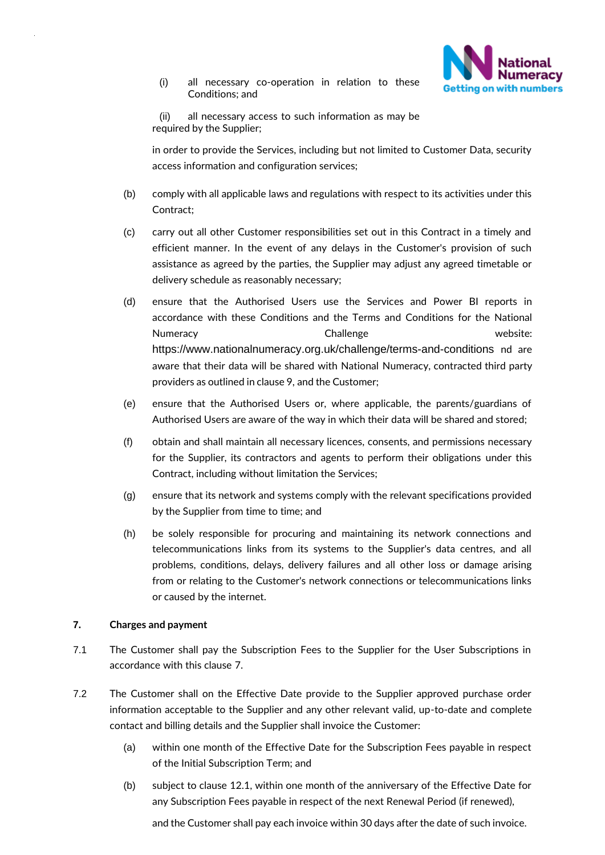

(i) all necessary co-operation in relation to these Conditions; and

(ii) all necessary access to such information as may be required by the Supplier;

in order to provide the Services, including but not limited to Customer Data, security access information and configuration services;

- (b) comply with all applicable laws and regulations with respect to its activities under this Contract;
- (c) carry out all other Customer responsibilities set out in this Contract in a timely and efficient manner. In the event of any delays in the Customer's provision of such assistance as agreed by the parties, the Supplier may adjust any agreed timetable or delivery schedule as reasonably necessary;
- (d) ensure that the Authorised Users use the Services and Power BI reports in accordance with these Conditions and the Terms and Conditions for the National Numeracy **Challenge** Challenge **website:** https://www.nationalnumeracy.org.uk/challenge/terms-and-conditions nd are aware that their data will be shared with National Numeracy, contracted third party providers as outlined in clause 9, and the Customer;
- (e) ensure that the Authorised Users or, where applicable, the parents/guardians of Authorised Users are aware of the way in which their data will be shared and stored;
- (f) obtain and shall maintain all necessary licences, consents, and permissions necessary for the Supplier, its contractors and agents to perform their obligations under this Contract, including without limitation the Services;
- (g) ensure that its network and systems comply with the relevant specifications provided by the Supplier from time to time; and
- (h) be solely responsible for procuring and maintaining its network connections and telecommunications links from its systems to the Supplier's data centres, and all problems, conditions, delays, delivery failures and all other loss or damage arising from or relating to the Customer's network connections or telecommunications links or caused by the internet.

#### **7. Charges and payment**

- <span id="page-4-0"></span>7.1 The Customer shall pay the Subscription Fees to the Supplier for the User Subscriptions in accordance with this clause 7.
- 7.2 The Customer shall on the Effective Date provide to the Supplier approved purchase order information acceptable to the Supplier and any other relevant valid, up-to-date and complete contact and billing details and the Supplier shall invoice the Customer:
	- (a) within one month of the Effective Date for the Subscription Fees payable in respect of the Initial Subscription Term; and
	- (b) subject to clause 12.1, within one month of the anniversary of the Effective Date for any Subscription Fees payable in respect of the next Renewal Period (if renewed),

and the Customer shall pay each invoice within 30 days after the date of such invoice.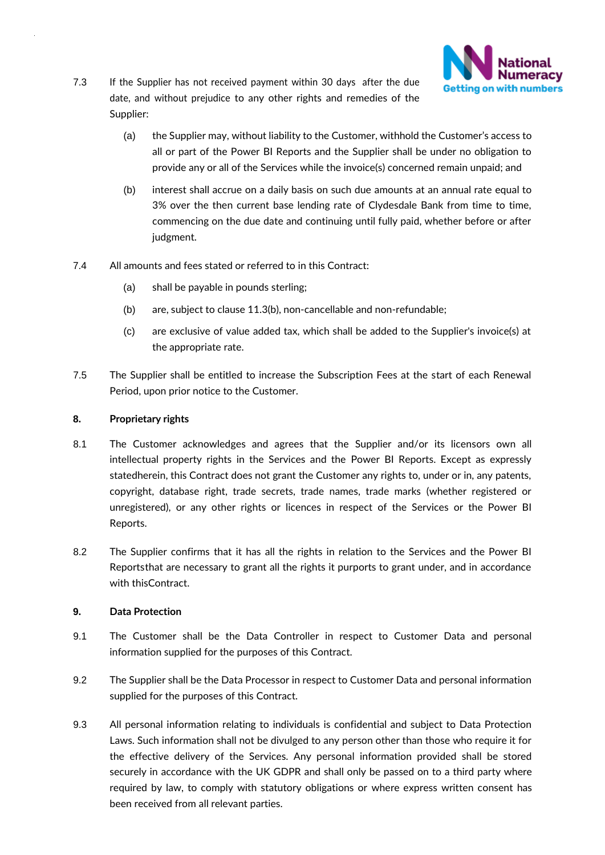

- 7.3 If the Supplier has not received payment within 30 days after the due date, and without prejudice to any other rights and remedies of the Supplier:
	- (a) the Supplier may, without liability to the Customer, withhold the Customer's access to all or part of the Power BI Reports and the Supplier shall be under no obligation to provide any or all of the Services while the invoice(s) concerned remain unpaid; and
	- (b) interest shall accrue on a daily basis on such due amounts at an annual rate equal to 3% over the then current base lending rate of Clydesdale Bank from time to time, commencing on the due date and continuing until fully paid, whether before or after judgment.
- 7.4 All amounts and fees stated or referred to in this Contract:
	- (a) shall be payable in pounds sterling;
	- (b) are, subject to clause [11.3\(b\),](#page-8-1) non-cancellable and non-refundable;
	- (c) are exclusive of value added tax, which shall be added to the Supplier's invoice(s) at the appropriate rate.
- 7.5 The Supplier shall be entitled to increase the Subscription Fees at the start of each Renewal Period, upon prior notice to the Customer.

#### **8. Proprietary rights**

- 8.1 The Customer acknowledges and agrees that the Supplier and/or its licensors own all intellectual property rights in the Services and the Power BI Reports. Except as expressly statedherein, this Contract does not grant the Customer any rights to, under or in, any patents, copyright, database right, trade secrets, trade names, trade marks (whether registered or unregistered), or any other rights or licences in respect of the Services or the Power BI Reports.
- 8.2 The Supplier confirms that it has all the rights in relation to the Services and the Power BI Reportsthat are necessary to grant all the rights it purports to grant under, and in accordance with thisContract.

#### **9. Data Protection**

- 9.1 The Customer shall be the Data Controller in respect to Customer Data and personal information supplied for the purposes of this Contract.
- 9.2 The Supplier shall be the Data Processor in respect to Customer Data and personal information supplied for the purposes of this Contract.
- 9.3 All personal information relating to individuals is confidential and subject to Data Protection Laws. Such information shall not be divulged to any person other than those who require it for the effective delivery of the Services. Any personal information provided shall be stored securely in accordance with the UK GDPR and shall only be passed on to a third party where required by law, to comply with statutory obligations or where express written consent has been received from all relevant parties.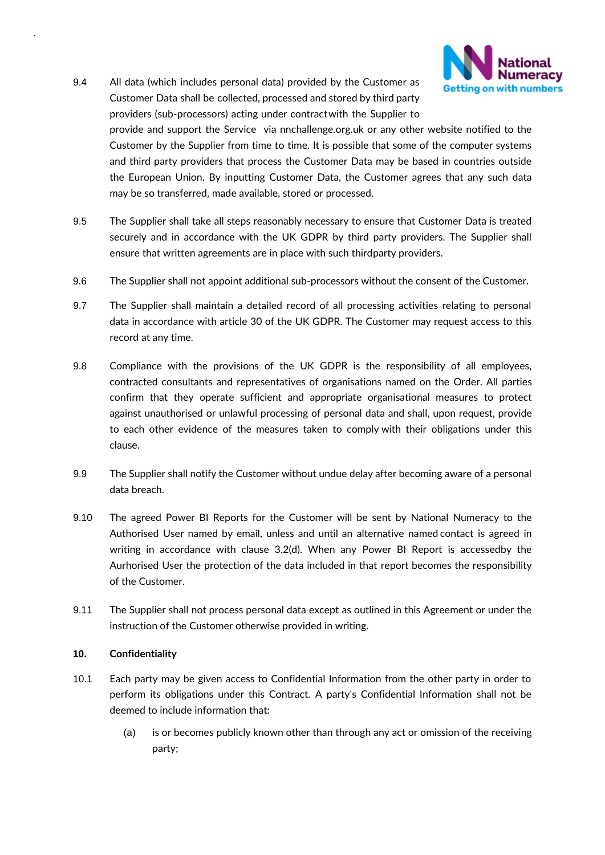

9.4 All data (which includes personal data) provided by the Customer as Customer Data shall be collected, processed and stored by third party providers (sub-processors) acting under contractwith the Supplier to

provide and support the Service via nnchallenge.org.uk or any other website notified to the Customer by the Supplier from time to time. It is possible that some of the computer systems and third party providers that process the Customer Data may be based in countries outside the European Union. By inputting Customer Data, the Customer agrees that any such data may be so transferred, made available, stored or processed.

- 9.5 The Supplier shall take all steps reasonably necessary to ensure that Customer Data is treated securely and in accordance with the UK GDPR by third party providers. The Supplier shall ensure that written agreements are in place with such thirdparty providers.
- 9.6 The Supplier shall not appoint additional sub-processors without the consent of the Customer.
- 9.7 The Supplier shall maintain a detailed record of all processing activities relating to personal data in accordance with article 30 of the UK GDPR. The Customer may request access to this record at any time.
- 9.8 Compliance with the provisions of the UK GDPR is the responsibility of all employees, contracted consultants and representatives of organisations named on the Order. All parties confirm that they operate sufficient and appropriate organisational measures to protect against unauthorised or unlawful processing of personal data and shall, upon request, provide to each other evidence of the measures taken to comply with their obligations under this clause.
- 9.9 The Supplier shall notify the Customer without undue delay after becoming aware of a personal data breach.
- 9.10 The agreed Power BI Reports for the Customer will be sent by National Numeracy to the Authorised User named by email, unless and until an alternative named contact is agreed in writing in accordance with clause 3.2(d). When any Power BI Report is accessedby the Aurhorised User the protection of the data included in that report becomes the responsibility of the Customer.
- 9.11 The Supplier shall not process personal data except as outlined in this Agreement or under the instruction of the Customer otherwise provided in writing.

#### <span id="page-6-0"></span>**10. Confidentiality**

- 10.1 Each party may be given access to Confidential Information from the other party in order to perform its obligations under this Contract. A party's Confidential Information shall not be deemed to include information that:
	- (a) is or becomes publicly known other than through any act or omission of the receiving party;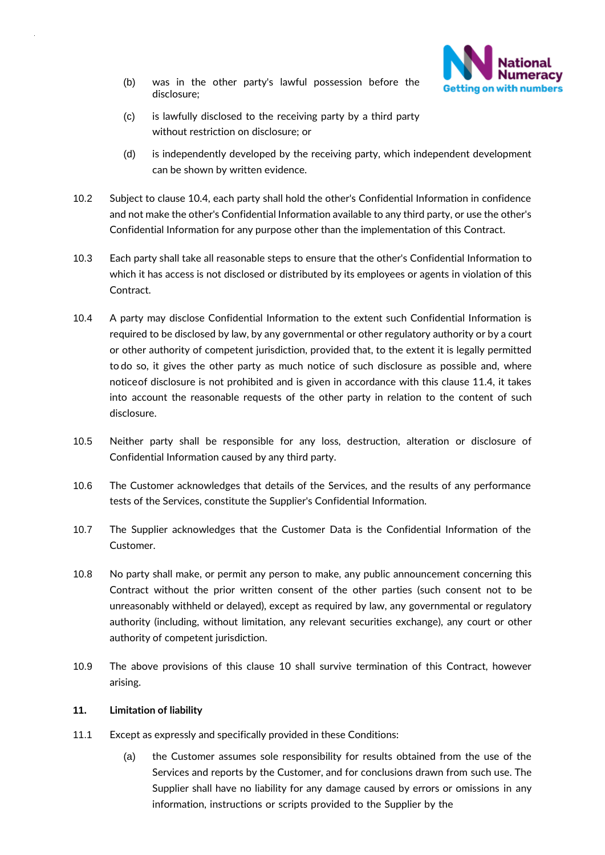

- (b) was in the other party's lawful possession before the disclosure;
- (c) is lawfully disclosed to the receiving party by a third party without restriction on disclosure; or
- (d) is independently developed by the receiving party, which independent development can be shown by written evidence.
- 10.2 Subject to clause 10.4, each party shall hold the other's Confidential Information in confidence and not make the other's Confidential Information available to any third party, or use the other's Confidential Information for any purpose other than the implementation of this Contract.
- 10.3 Each party shall take all reasonable steps to ensure that the other's Confidential Information to which it has access is not disclosed or distributed by its employees or agents in violation of this Contract.
- 10.4 A party may disclose Confidential Information to the extent such Confidential Information is required to be disclosed by law, by any governmental or other regulatory authority or by a court or other authority of competent jurisdiction, provided that, to the extent it is legally permitted to do so, it gives the other party as much notice of such disclosure as possible and, where noticeof disclosure is not prohibited and is given in accordance with this clause 11.4, it takes into account the reasonable requests of the other party in relation to the content of such disclosure.
- 10.5 Neither party shall be responsible for any loss, destruction, alteration or disclosure of Confidential Information caused by any third party.
- <span id="page-7-0"></span>10.6 The Customer acknowledges that details of the Services, and the results of any performance tests of the Services, constitute the Supplier's Confidential Information.
- <span id="page-7-1"></span>10.7 The Supplier acknowledges that the Customer Data is the Confidential Information of the Customer.
- 10.8 No party shall make, or permit any person to make, any public announcement concerning this Contract without the prior written consent of the other parties (such consent not to be unreasonably withheld or delayed), except as required by law, any governmental or regulatory authority (including, without limitation, any relevant securities exchange), any court or other authority of competent jurisdiction.
- 10.9 The above provisions of this clause [10](#page-6-0) shall survive termination of this Contract, however arising.

#### **11. Limitation of liability**

- <span id="page-7-2"></span>11.1 Except as expressly and specifically provided in these Conditions:
	- (a) the Customer assumes sole responsibility for results obtained from the use of the Services and reports by the Customer, and for conclusions drawn from such use. The Supplier shall have no liability for any damage caused by errors or omissions in any information, instructions or scripts provided to the Supplier by the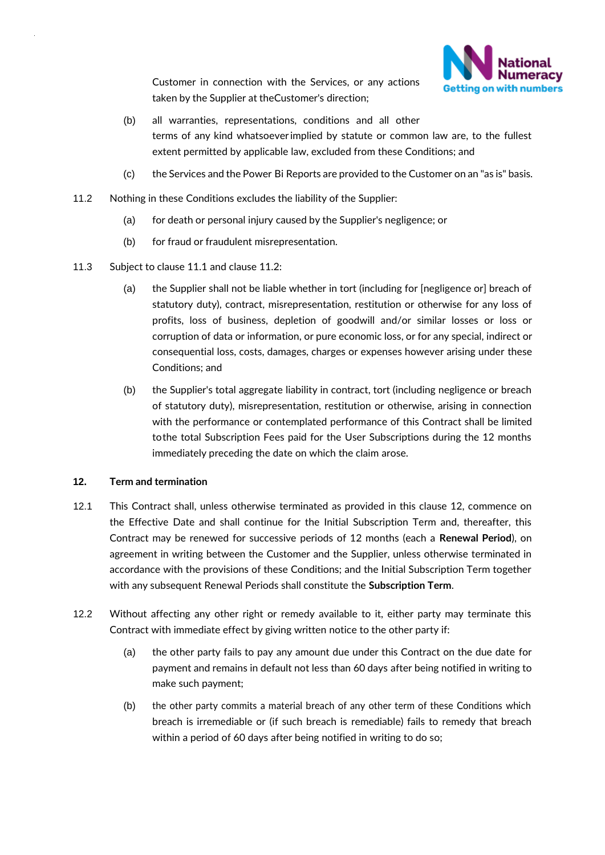

Customer in connection with the Services, or any actions taken by the Supplier at theCustomer's direction;

- (b) all warranties, representations, conditions and all other terms of any kind whatsoeverimplied by statute or common law are, to the fullest extent permitted by applicable law, excluded from these Conditions; and
- (c) the Services and the Power Bi Reports are provided to the Customer on an "as is" basis.
- <span id="page-8-2"></span>11.2 Nothing in these Conditions excludes the liability of the Supplier:
	- (a) for death or personal injury caused by the Supplier's negligence; or
	- (b) for fraud or fraudulent misrepresentation.
- 11.3 Subject to clause [11.1 a](#page-7-2)nd clause [11.2:](#page-8-2)
	- (a) the Supplier shall not be liable whether in tort (including for [negligence or] breach of statutory duty), contract, misrepresentation, restitution or otherwise for any loss of profits, loss of business, depletion of goodwill and/or similar losses or loss or corruption of data or information, or pure economic loss, or for any special, indirect or consequential loss, costs, damages, charges or expenses however arising under these Conditions; and
	- (b) the Supplier's total aggregate liability in contract, tort (including negligence or breach of statutory duty), misrepresentation, restitution or otherwise, arising in connection with the performance or contemplated performance of this Contract shall be limited tothe total Subscription Fees paid for the User Subscriptions during the 12 months immediately preceding the date on which the claim arose.

#### <span id="page-8-1"></span>**12. Term and termination**

- <span id="page-8-0"></span>12.1 This Contract shall, unless otherwise terminated as provided in this clause 12, commence on the Effective Date and shall continue for the Initial Subscription Term and, thereafter, this Contract may be renewed for successive periods of 12 months (each a **Renewal Period**), on agreement in writing between the Customer and the Supplier, unless otherwise terminated in accordance with the provisions of these Conditions; and the Initial Subscription Term together with any subsequent Renewal Periods shall constitute the **Subscription Term**.
- 12.2 Without affecting any other right or remedy available to it, either party may terminate this Contract with immediate effect by giving written notice to the other party if:
	- (a) the other party fails to pay any amount due under this Contract on the due date for payment and remains in default not less than 60 days after being notified in writing to make such payment;
	- (b) the other party commits a material breach of any other term of these Conditions which breach is irremediable or (if such breach is remediable) fails to remedy that breach within a period of 60 days after being notified in writing to do so;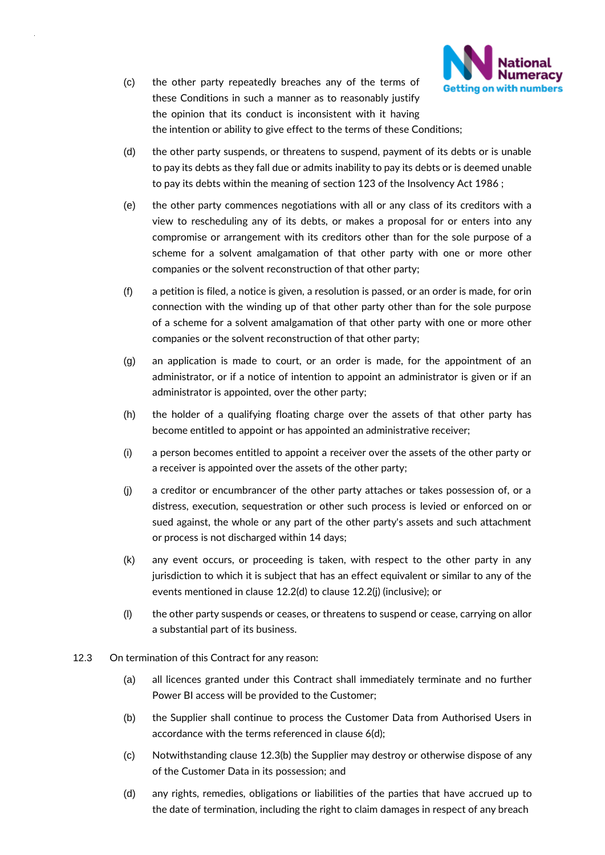

- (c) the other party repeatedly breaches any of the terms of these Conditions in such a manner as to reasonably justify the opinion that its conduct is inconsistent with it having the intention or ability to give effect to the terms of these Conditions;
- <span id="page-9-0"></span>(d) the other party suspends, or threatens to suspend, payment of its debts or is unable to pay its debts as they fall due or admits inability to pay its debts or is deemed unable to pay its debts within the meaning of section 123 of the Insolvency Act 1986 ;
- (e) the other party commences negotiations with all or any class of its creditors with a view to rescheduling any of its debts, or makes a proposal for or enters into any compromise or arrangement with its creditors other than for the sole purpose of a scheme for a solvent amalgamation of that other party with one or more other companies or the solvent reconstruction of that other party;
- (f) a petition is filed, a notice is given, a resolution is passed, or an order is made, for orin connection with the winding up of that other party other than for the sole purpose of a scheme for a solvent amalgamation of that other party with one or more other companies or the solvent reconstruction of that other party;
- (g) an application is made to court, or an order is made, for the appointment of an administrator, or if a notice of intention to appoint an administrator is given or if an administrator is appointed, over the other party;
- (h) the holder of a qualifying floating charge over the assets of that other party has become entitled to appoint or has appointed an administrative receiver;
- (i) a person becomes entitled to appoint a receiver over the assets of the other party or a receiver is appointed over the assets of the other party;
- <span id="page-9-1"></span>(j) a creditor or encumbrancer of the other party attaches or takes possession of, or a distress, execution, sequestration or other such process is levied or enforced on or sued against, the whole or any part of the other party's assets and such attachment or process is not discharged within 14 days;
- (k) any event occurs, or proceeding is taken, with respect to the other party in any jurisdiction to which it is subject that has an effect equivalent or similar to any of the events mentioned in clause [12.2\(d\)](#page-9-0) to clause [12.2\(j\) \(](#page-9-1)inclusive); or
- (l) the other party suspends or ceases, or threatens to suspend or cease, carrying on allor a substantial part of its business.
- 12.3 On termination of this Contract for any reason:
	- (a) all licences granted under this Contract shall immediately terminate and no further Power BI access will be provided to the Customer;
	- (b) the Supplier shall continue to process the Customer Data from Authorised Users in accordance with the terms referenced in clause 6(d);
	- (c) Notwithstanding clause 12.3(b) the Supplier may destroy or otherwise dispose of any of the Customer Data in its possession; and
	- (d) any rights, remedies, obligations or liabilities of the parties that have accrued up to the date of termination, including the right to claim damages in respect of any breach